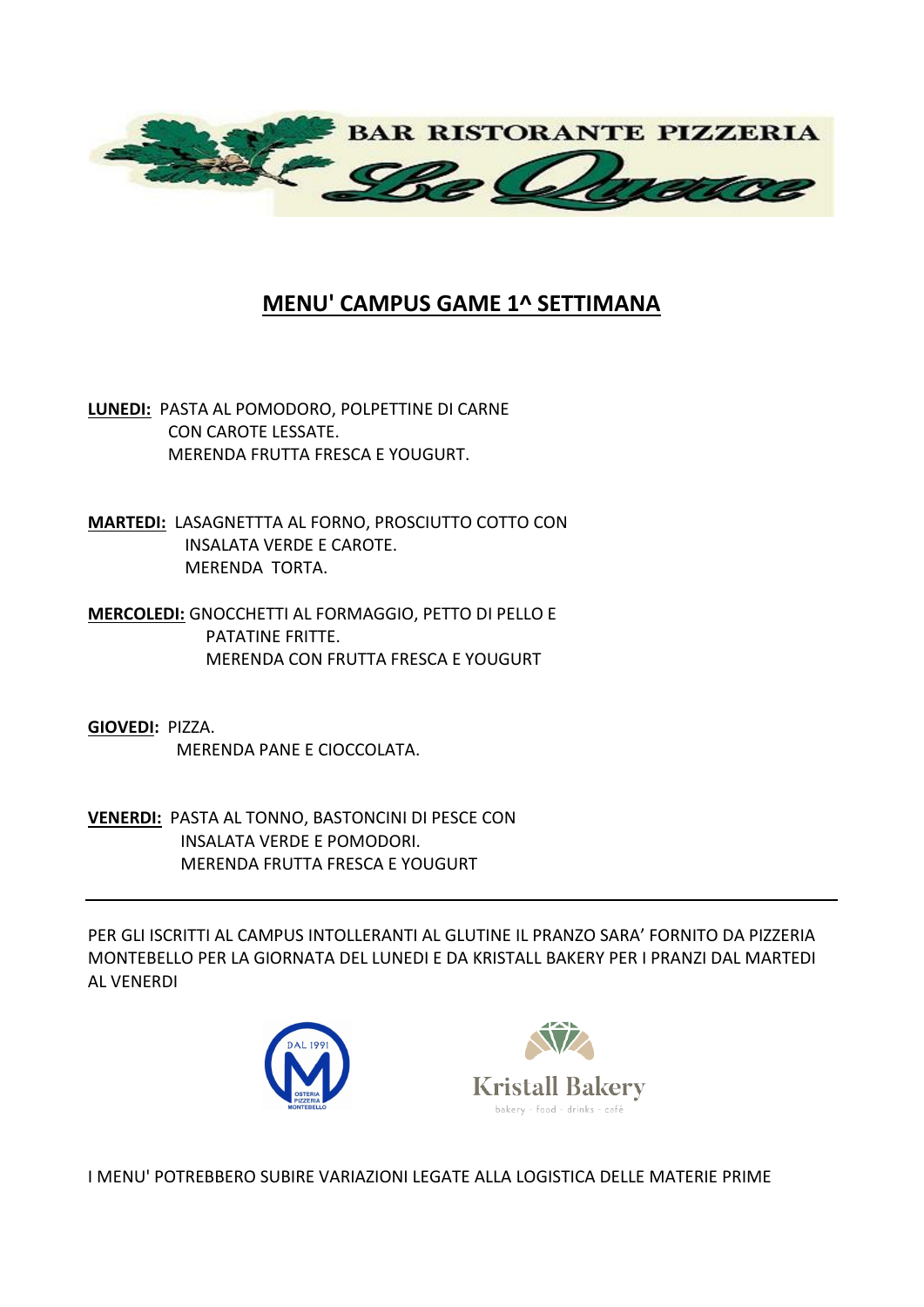

## **MENU' CAMPUS GAME 1^ SETTIMANA**

**LUNEDI:** PASTA AL POMODORO, POLPETTINE DI CARNE CON CAROTE LESSATE. MERENDA FRUTTA FRESCA E YOUGURT.

**MARTEDI:** LASAGNETTTA AL FORNO, PROSCIUTTO COTTO CON INSALATA VERDE E CAROTE. MERENDA TORTA.

**MERCOLEDI:** GNOCCHETTI AL FORMAGGIO, PETTO DI PELLO E PATATINE FRITTE. MERENDA CON FRUTTA FRESCA E YOUGURT

**GIOVEDI:** PIZZA. MERENDA PANE E CIOCCOLATA.

**VENERDI:** PASTA AL TONNO, BASTONCINI DI PESCE CON INSALATA VERDE E POMODORI. MERENDA FRUTTA FRESCA E YOUGURT

PER GLI ISCRITTI AL CAMPUS INTOLLERANTI AL GLUTINE IL PRANZO SARA' FORNITO DA PIZZERIA MONTEBELLO PER LA GIORNATA DEL LUNEDI E DA KRISTALL BAKERY PER I PRANZI DAL MARTEDI AL VENERDI





I MENU' POTREBBERO SUBIRE VARIAZIONI LEGATE ALLA LOGISTICA DELLE MATERIE PRIME